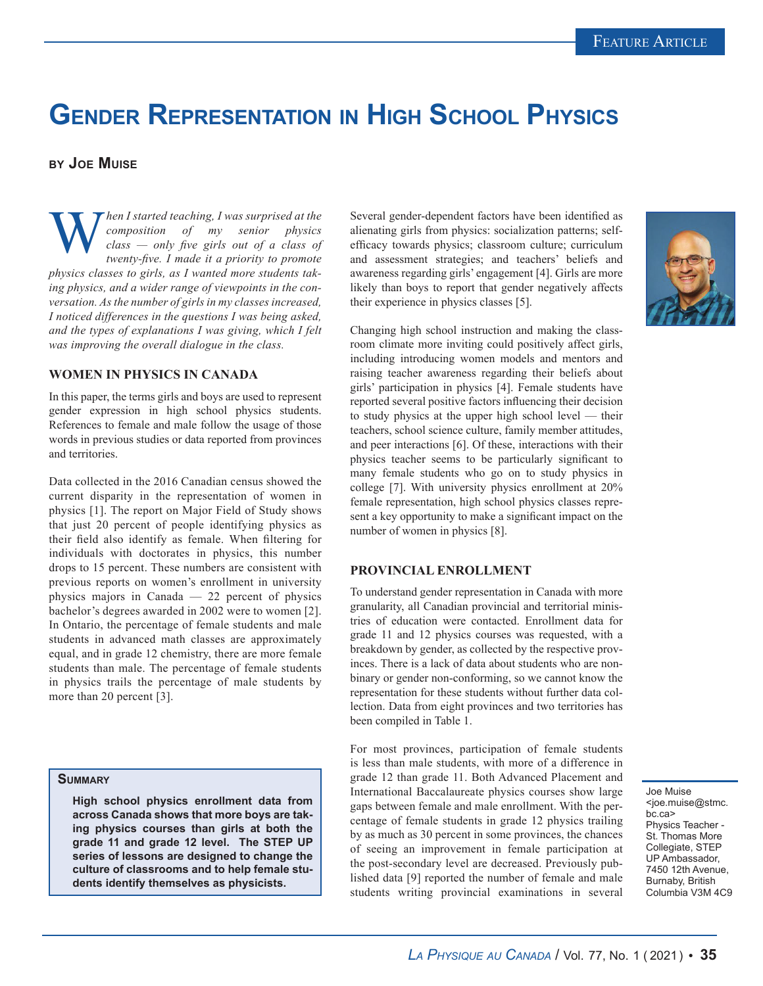# **Gender Representation in High School Physics**

# **by Joe Muise**

**W** *composition of my senior physics class* — *only five girls out of a class of twenty-five. I made it a priority to promote composition of my senior physics class — only five girls out of a class of twenty-five. I made it a priority to promote physics classes to girls, as I wanted more students taking physics, and a wider range of viewpoints in the conversation. As the number of girls in my classes increased, I noticed differences in the questions I was being asked, and the types of explanations I was giving, which I felt was improving the overall dialogue in the class.*

### **WOMEN IN PHYSICS IN CANADA**

In this paper, the terms girls and boys are used to represent gender expression in high school physics students. References to female and male follow the usage of those words in previous studies or data reported from provinces and territories.

Data collected in the 2016 Canadian census showed the current disparity in the representation of women in physics [1]. The report on Major Field of Study shows that just 20 percent of people identifying physics as their field also identify as female. When filtering for individuals with doctorates in physics, this number drops to 15 percent. These numbers are consistent with previous reports on women's enrollment in university physics majors in Canada — 22 percent of physics bachelor's degrees awarded in 2002 were to women [2]. In Ontario, the percentage of female students and male students in advanced math classes are approximately equal, and in grade 12 chemistry, there are more female students than male. The percentage of female students in physics trails the percentage of male students by more than 20 percent [3].

#### **Summary**

**High school physics enrollment data from across Canada shows that more boys are taking physics courses than girls at both the grade 11 and grade 12 level. The STEP UP series of lessons are designed to change the culture of classrooms and to help female students identify themselves as physicists.**

Several gender-dependent factors have been identified as alienating girls from physics: socialization patterns; selfefficacy towards physics; classroom culture; curriculum and assessment strategies; and teachers' beliefs and awareness regarding girls' engagement [4]. Girls are more likely than boys to report that gender negatively affects their experience in physics classes [5].



Changing high school instruction and making the classroom climate more inviting could positively affect girls, including introducing women models and mentors and raising teacher awareness regarding their beliefs about girls' participation in physics [4]. Female students have reported several positive factors influencing their decision to study physics at the upper high school level — their teachers, school science culture, family member attitudes, and peer interactions [6]. Of these, interactions with their physics teacher seems to be particularly significant to many female students who go on to study physics in college [7]. With university physics enrollment at 20% female representation, high school physics classes represent a key opportunity to make a significant impact on the number of women in physics [8].

#### **PROVINCIAL ENROLLMENT**

To understand gender representation in Canada with more granularity, all Canadian provincial and territorial ministries of education were contacted. Enrollment data for grade 11 and 12 physics courses was requested, with a breakdown by gender, as collected by the respective provinces. There is a lack of data about students who are nonbinary or gender non-conforming, so we cannot know the representation for these students without further data collection. Data from eight provinces and two territories has been compiled in Table 1.

For most provinces, participation of female students is less than male students, with more of a difference in grade 12 than grade 11. Both Advanced Placement and International Baccalaureate physics courses show large gaps between female and male enrollment. With the percentage of female students in grade 12 physics trailing by as much as 30 percent in some provinces, the chances of seeing an improvement in female participation at the post-secondary level are decreased. Previously published data [9] reported the number of female and male students writing provincial examinations in several

Joe Muise <ioe.muise@stmc. bc.ca> Physics Teacher - St. Thomas More Collegiate, STEP UP Ambassador, 7450 12th Avenue, Burnaby, British Columbia V3M 4C9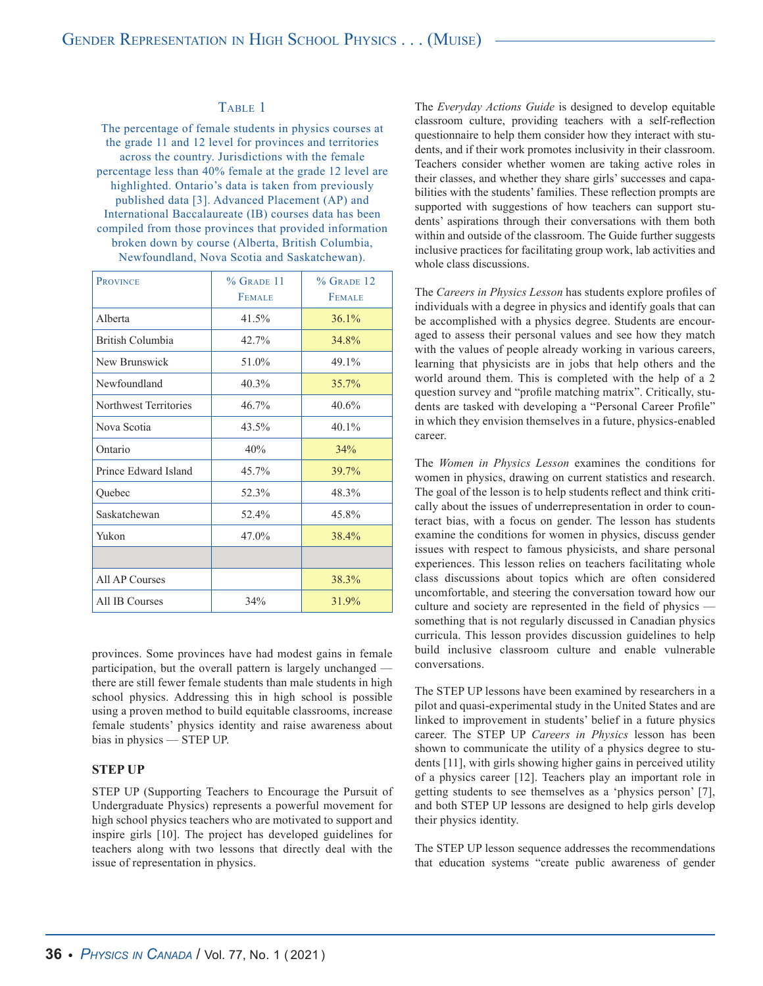# TABLE 1

The percentage of female students in physics courses at the grade 11 and 12 level for provinces and territories across the country. Jurisdictions with the female percentage less than 40% female at the grade 12 level are highlighted. Ontario's data is taken from previously published data [3]. Advanced Placement (AP) and International Baccalaureate (IB) courses data has been compiled from those provinces that provided information broken down by course (Alberta, British Columbia, Newfoundland, Nova Scotia and Saskatchewan).

| <b>PROVINCE</b>       | $%$ GRADE 11  | $%$ GRADE 12  |
|-----------------------|---------------|---------------|
|                       | <b>FEMALE</b> | <b>FEMALE</b> |
| Alberta               | 41.5%         | 36.1%         |
| British Columbia      | 42.7%         | 34.8%         |
| New Brunswick         | 51.0%         | 49.1%         |
| Newfoundland          | 40.3%         | 35.7%         |
| Northwest Territories | 46.7%         | 40.6%         |
| Nova Scotia           | $43.5\%$      | $40.1\%$      |
| Ontario               | 40%           | 34%           |
| Prince Edward Island  | $45.7\%$      | 39.7%         |
| Quebec                | 52.3%         | 48.3%         |
| Saskatchewan          | 52.4%         | 45.8%         |
| Yukon                 | $47.0\%$      | 38.4%         |
|                       |               |               |
| All AP Courses        |               | 38.3%         |
| All IB Courses        | 34%           | 31.9%         |

provinces. Some provinces have had modest gains in female participation, but the overall pattern is largely unchanged there are still fewer female students than male students in high school physics. Addressing this in high school is possible using a proven method to build equitable classrooms, increase female students' physics identity and raise awareness about bias in physics — STEP UP.

#### **STEP UP**

STEP UP (Supporting Teachers to Encourage the Pursuit of Undergraduate Physics) represents a powerful movement for high school physics teachers who are motivated to support and inspire girls [10]. The project has developed guidelines for teachers along with two lessons that directly deal with the issue of representation in physics.

The *Everyday Actions Guide* is designed to develop equitable classroom culture, providing teachers with a self-reflection questionnaire to help them consider how they interact with students, and if their work promotes inclusivity in their classroom. Teachers consider whether women are taking active roles in their classes, and whether they share girls' successes and capabilities with the students' families. These reflection prompts are supported with suggestions of how teachers can support students' aspirations through their conversations with them both within and outside of the classroom. The Guide further suggests inclusive practices for facilitating group work, lab activities and whole class discussions.

The *Careers in Physics Lesson* has students explore profiles of individuals with a degree in physics and identify goals that can be accomplished with a physics degree. Students are encouraged to assess their personal values and see how they match with the values of people already working in various careers, learning that physicists are in jobs that help others and the world around them. This is completed with the help of a 2 question survey and "profile matching matrix". Critically, students are tasked with developing a "Personal Career Profile" in which they envision themselves in a future, physics-enabled career.

The *Women in Physics Lesson* examines the conditions for women in physics, drawing on current statistics and research. The goal of the lesson is to help students reflect and think critically about the issues of underrepresentation in order to counteract bias, with a focus on gender. The lesson has students examine the conditions for women in physics, discuss gender issues with respect to famous physicists, and share personal experiences. This lesson relies on teachers facilitating whole class discussions about topics which are often considered uncomfortable, and steering the conversation toward how our culture and society are represented in the field of physics something that is not regularly discussed in Canadian physics curricula. This lesson provides discussion guidelines to help build inclusive classroom culture and enable vulnerable conversations.

The STEP UP lessons have been examined by researchers in a pilot and quasi-experimental study in the United States and are linked to improvement in students' belief in a future physics career. The STEP UP *Careers in Physics* lesson has been shown to communicate the utility of a physics degree to students [11], with girls showing higher gains in perceived utility of a physics career [12]. Teachers play an important role in getting students to see themselves as a 'physics person' [7], and both STEP UP lessons are designed to help girls develop their physics identity.

The STEP UP lesson sequence addresses the recommendations that education systems "create public awareness of gender